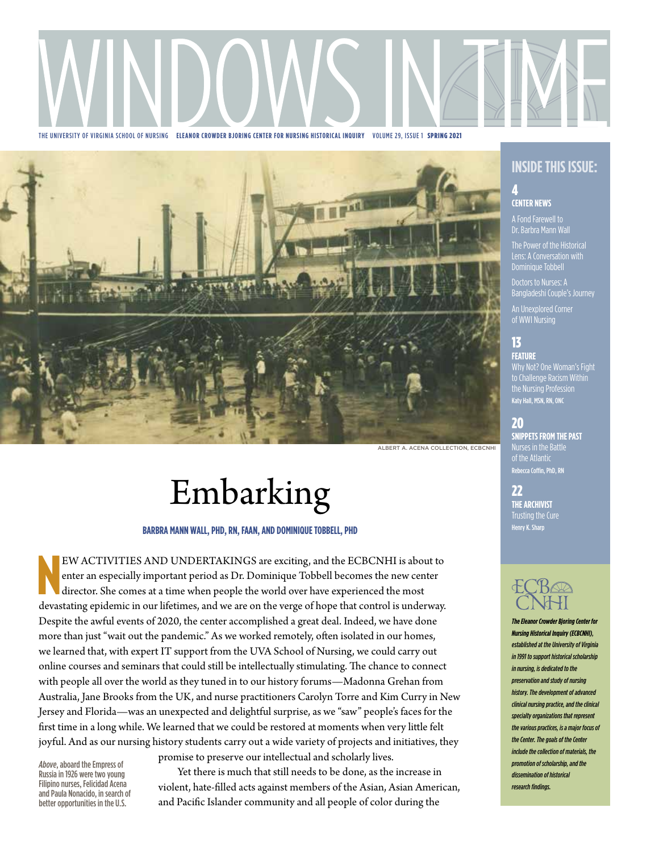

THE UNIVERSITY OF VIRGINIA SCHOOL OF NURSING **ELEANOR CROWDER BJORING CENTER FOR NURSING HISTORICAL INQUIRY** VOLUME 29, ISSUE 1 SPRING 2021



#### ALBERT A. ACENA COLLECTION, ECBCNHI

# Embarking

#### **BARBRA MANN WALL, PHD, RN, FAAN, AND DOMINIQUE TOBBELL, PHD**

EW ACTIVITIES AND UNDERTAKINGS are exciting, and the ECBCNHI is about to enter an especially important period as Dr. Dominique Tobbell becomes the new center director. She comes at a time when people the world over have ex EW ACTIVITIES AND UNDERTAKINGS are exciting, and the ECBCNHI is about to enter an especially important period as Dr. Dominique Tobbell becomes the new center director. She comes at a time when people the world over have experienced the most Despite the awful events of 2020, the center accomplished a great deal. Indeed, we have done more than just "wait out the pandemic." As we worked remotely, often isolated in our homes, we learned that, with expert IT support from the UVA School of Nursing, we could carry out online courses and seminars that could still be intellectually stimulating. The chance to connect with people all over the world as they tuned in to our history forums—Madonna Grehan from Australia, Jane Brooks from the UK, and nurse practitioners Carolyn Torre and Kim Curry in New Jersey and Florida—was an unexpected and delightful surprise, as we "saw" people's faces for the first time in a long while. We learned that we could be restored at moments when very little felt joyful. And as our nursing history students carry out a wide variety of projects and initiatives, they

*Above*, aboard the Empress of Russia in 1926 were two young Filipino nurses, Felicidad Acena and Paula Nonacido, in search of better opportunities in the U.S.

promise to preserve our intellectual and scholarly lives.

Yet there is much that still needs to be done, as the increase in violent, hate-filled acts against members of the Asian, Asian American, and Pacific Islander community and all people of color during the

# **INSIDE THIS ISSUE:**

#### 4 **CENTER NEWS**

Dr. Barbra Mann Wall

The Power of the Historical Lens: A Conversation with Dominique Tobbell

Bangladeshi Couple's Journey

An Unexplored Corner of WWI Nursing

# 13

**FEATURE** Why Not? One Woman's Fight the Nursing Profession Katy Hall, MSN, RN, ONC

## 20

**SNIPPETS FROM THE PAST** Nurses in the Battle of the Atlantic Rebecca Coffin, PhD, RN

22 **THE ARCHIVIST** Trusting the Cure Henry K. Sharp



*The Eleanor Crowder Bjoring Center for Nursing Historical Inquiry (ECBCNHI), established at the University of Virginia in 1991 to support historical scholarship in nursing, is dedicated to the preservation and study of nursing history. The development of advanced clinical nursing practice, and the clinical specialty organizations that represent the various practices, is a major focus of the Center. The goals of the Center include the collection of materials, the promotion of scholarship, and the dissemination of historical research findings.*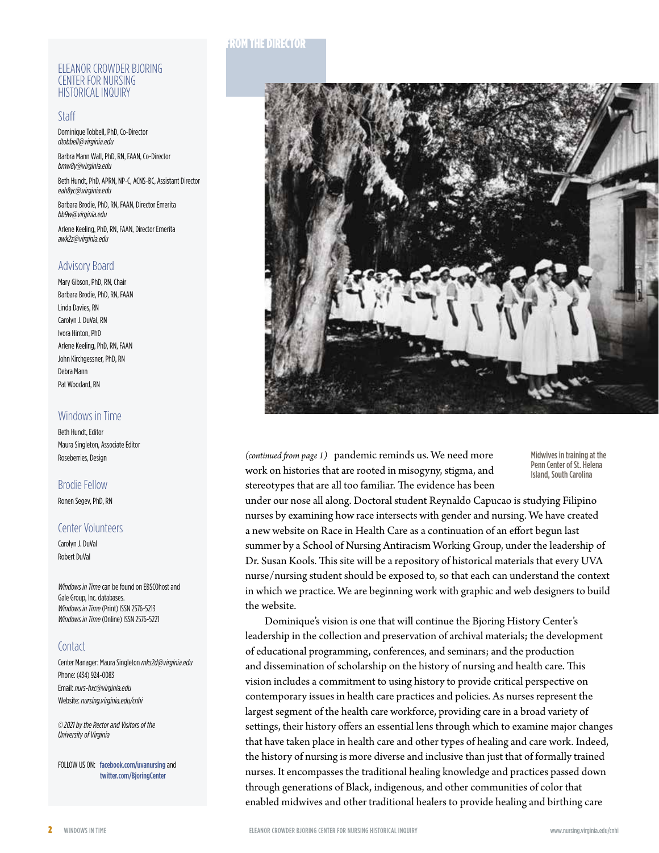#### ELEANOR CROWDER BJORING CENTER FOR NURSING HISTORICAL INQUIRY

#### Staff

Dominique Tobbell, PhD, Co-Director *dtobbell@virginia.edu*

Barbra Mann Wall, PhD, RN, FAAN, Co-Director *[bmw8y@virginia.edu](mailto:bmw8y@virginia.edu)*

Beth Hundt, PhD, APRN, NP-C, ACNS-BC, Assistant Director *[eah8yc@.virginia.edu](eah8yc@hscmail.mcc.virginia.edu )*

Barbara Brodie, PhD, RN, FAAN, Director Emerita *[bb9w@virginia.edu](mailto:bb9w@virginia.edu)*

Arlene Keeling, PhD, RN, FAAN, Director Emerita *[awk2z@virginia.edu](mailto:awk2z@virginia.edu)*

## Advisory Board

Mary Gibson, PhD, RN, Chair Barbara Brodie, PhD, RN, FAAN Linda Davies, RN Carolyn J. DuVal, RN Ivora Hinton, PhD Arlene Keeling, PhD, RN, FAAN John Kirchgessner, PhD, RN Debra Mann Pat Woodard, RN

## Windows in Time

Beth Hundt, Editor Maura Singleton, Associate Editor Roseberries, Design

## Brodie Fellow

# Ronen Segev, PhD, RN

# Center Volunteers

Carolyn J. DuVal Robert DuVal

*Windows in Time* can be found on EBSCOhost and Gale Group, Inc. databases. *Windows in Time* (Print) ISSN 2576-5213 *Windows in Time* (Online) ISSN 2576-5221

## **Contact**

Center Manager: Maura Singleton *[mks2d@virginia.edu](mailto:mks2d@virginia.edu)* Phone: (434) 924-0083 Email: *<nurs-hxc@virginia.edu>* Website: *[nursing.virginia.edu/cnhi](http://www.nursing.virginia.edu/cnhi)*

*© 2021 by the Rector and Visitors of the University of Virginia*

FOLLOW US ON: [facebook.com/uvanursing](https://www.facebook.com/uvanursing) and <twitter.com/BjoringCenter>

## FROM THE DIRECTOR



(continued from page 1) pandemic reminds us. We need more work on histories that are rooted in misogyny, stigma, and stereotypes that are all too familiar. The evidence has been

Midwives in training at the Penn Center of St. Helena Island, South Carolina

under our nose all along. Doctoral student Reynaldo Capucao is studying Filipino nurses by examining how race intersects with gender and nursing. We have created a new website on Race in Health Care as a continuation of an effort begun last summer by a School of Nursing Antiracism Working Group, under the leadership of Dr. Susan Kools. This site will be a repository of historical materials that every UVA nurse/nursing student should be exposed to, so that each can understand the context in which we practice. We are beginning work with graphic and web designers to build the website.

Dominique's vision is one that will continue the Bjoring History Center's leadership in the collection and preservation of archival materials; the development of educational programming, conferences, and seminars; and the production and dissemination of scholarship on the history of nursing and health care. This vision includes a commitment to using history to provide critical perspective on contemporary issues in health care practices and policies. As nurses represent the largest segment of the health care workforce, providing care in a broad variety of settings, their history offers an essential lens through which to examine major changes that have taken place in health care and other types of healing and care work. Indeed, the history of nursing is more diverse and inclusive than just that of formally trained nurses. It encompasses the traditional healing knowledge and practices passed down through generations of Black, indigenous, and other communities of color that enabled midwives and other traditional healers to provide healing and birthing care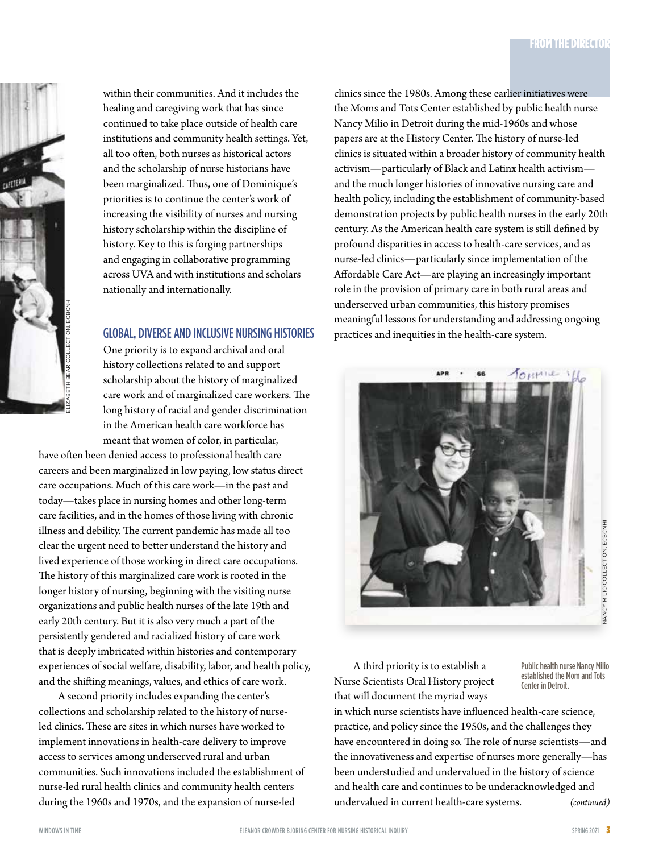

within their communities. And it includes the healing and caregiving work that has since continued to take place outside of health care institutions and community health settings. Yet, all too often, both nurses as historical actors and the scholarship of nurse historians have been marginalized. Thus, one of Dominique's priorities is to continue the center's work of increasing the visibility of nurses and nursing history scholarship within the discipline of history. Key to this is forging partnerships and engaging in collaborative programming across UVA and with institutions and scholars nationally and internationally.

# GLOBAL, DIVERSE AND INCLUSIVE NURSING HISTORIES

One priority is to expand archival and oral history collections related to and support scholarship about the history of marginalized care work and of marginalized care workers. The long history of racial and gender discrimination in the American health care workforce has meant that women of color, in particular,

have often been denied access to professional health care careers and been marginalized in low paying, low status direct care occupations. Much of this care work—in the past and today—takes place in nursing homes and other long-term care facilities, and in the homes of those living with chronic illness and debility. The current pandemic has made all too clear the urgent need to better understand the history and lived experience of those working in direct care occupations. The history of this marginalized care work is rooted in the longer history of nursing, beginning with the visiting nurse organizations and public health nurses of the late 19th and early 20th century. But it is also very much a part of the persistently gendered and racialized history of care work that is deeply imbricated within histories and contemporary experiences of social welfare, disability, labor, and health policy, and the shifting meanings, values, and ethics of care work.

A second priority includes expanding the center's collections and scholarship related to the history of nurseled clinics. These are sites in which nurses have worked to implement innovations in health-care delivery to improve access to services among underserved rural and urban communities. Such innovations included the establishment of nurse-led rural health clinics and community health centers during the 1960s and 1970s, and the expansion of nurse-led

clinics since the 1980s. Among these earlier initiatives were the Moms and Tots Center established by public health nurse Nancy Milio in Detroit during the mid-1960s and whose papers are at the History Center. The history of nurse-led clinics is situated within a broader history of community health activism—particularly of Black and Latinx health activism and the much longer histories of innovative nursing care and health policy, including the establishment of community-based demonstration projects by public health nurses in the early 20th century. As the American health care system is still defined by profound disparities in access to health-care services, and as nurse-led clinics—particularly since implementation of the Affordable Care Act—are playing an increasingly important role in the provision of primary care in both rural areas and underserved urban communities, this history promises meaningful lessons for understanding and addressing ongoing practices and inequities in the health-care system.



A third priority is to establish a Nurse Scientists Oral History project that will document the myriad ways

Public health nurse Nancy Milio established the Mom and Tots Center in Detroit.

in which nurse scientists have influenced health-care science, practice, and policy since the 1950s, and the challenges they have encountered in doing so. The role of nurse scientists—and the innovativeness and expertise of nurses more generally—has been understudied and undervalued in the history of science and health care and continues to be underacknowledged and undervalued in current health-care systems. (continued)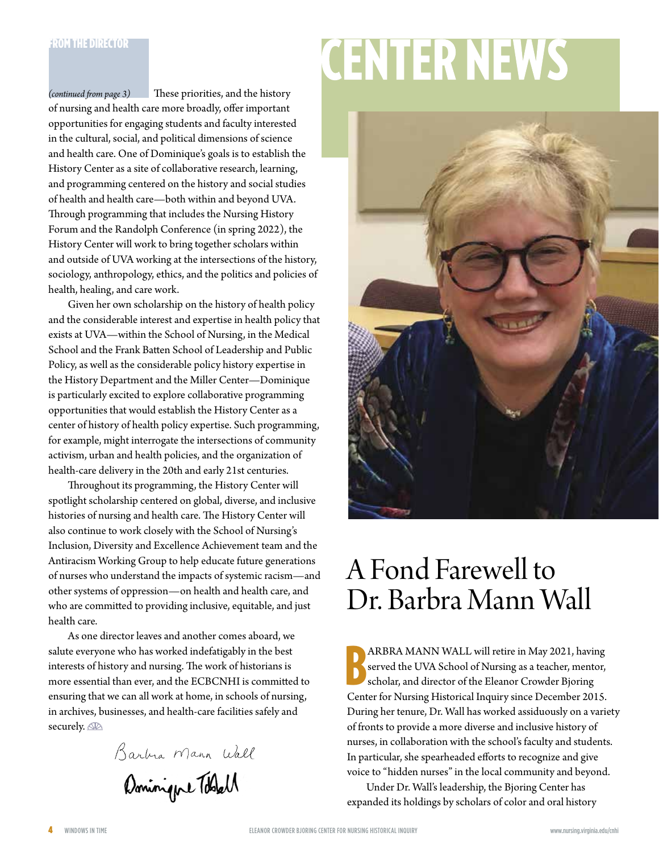*(continued from page 3)*

of nursing and health care more broadly, offer important opportunities for engaging students and faculty interested in the cultural, social, and political dimensions of science and health care. One of Dominique's goals is to establish the History Center as a site of collaborative research, learning, and programming centered on the history and social studies of health and health care—both within and beyond UVA. Through programming that includes the Nursing History Forum and the Randolph Conference (in spring 2022), the History Center will work to bring together scholars within and outside of UVA working at the intersections of the history, sociology, anthropology, ethics, and the politics and policies of health, healing, and care work.

These priorities, and the history

Given her own scholarship on the history of health policy and the considerable interest and expertise in health policy that exists at UVA—within the School of Nursing, in the Medical School and the Frank Batten School of Leadership and Public Policy, as well as the considerable policy history expertise in the History Department and the Miller Center—Dominique is particularly excited to explore collaborative programming opportunities that would establish the History Center as a center of history of health policy expertise. Such programming, for example, might interrogate the intersections of community activism, urban and health policies, and the organization of health-care delivery in the 20th and early 21st centuries.

Throughout its programming, the History Center will spotlight scholarship centered on global, diverse, and inclusive histories of nursing and health care. The History Center will also continue to work closely with the School of Nursing's Inclusion, Diversity and Excellence Achievement team and the Antiracism Working Group to help educate future generations of nurses who understand the impacts of systemic racism—and other systems of oppression—on health and health care, and who are committed to providing inclusive, equitable, and just health care.

As one director leaves and another comes aboard, we salute everyone who has worked indefatigably in the best interests of history and nursing. The work of historians is more essential than ever, and the ECBCNHI is committed to ensuring that we can all work at home, in schools of nursing, in archives, businesses, and health-care facilities safely and securely.

Barbia Mann Wall Dominique Toblell

# **CENTER NEWS**



# A Fond Farewell to Dr. Barbra Mann Wall

B ARBRA MANN WALL will retire in May 2021, having served the UVA School of Nursing as a teacher, mentor, scholar, and director of the Eleanor Crowder Bjoring Center for Nursing Historical Inquiry since December 2015. During her tenure, Dr. Wall has worked assiduously on a variety of fronts to provide a more diverse and inclusive history of nurses, in collaboration with the school's faculty and students. In particular, she spearheaded efforts to recognize and give voice to "hidden nurses" in the local community and beyond.

Under Dr. Wall's leadership, the Bjoring Center has expanded its holdings by scholars of color and oral history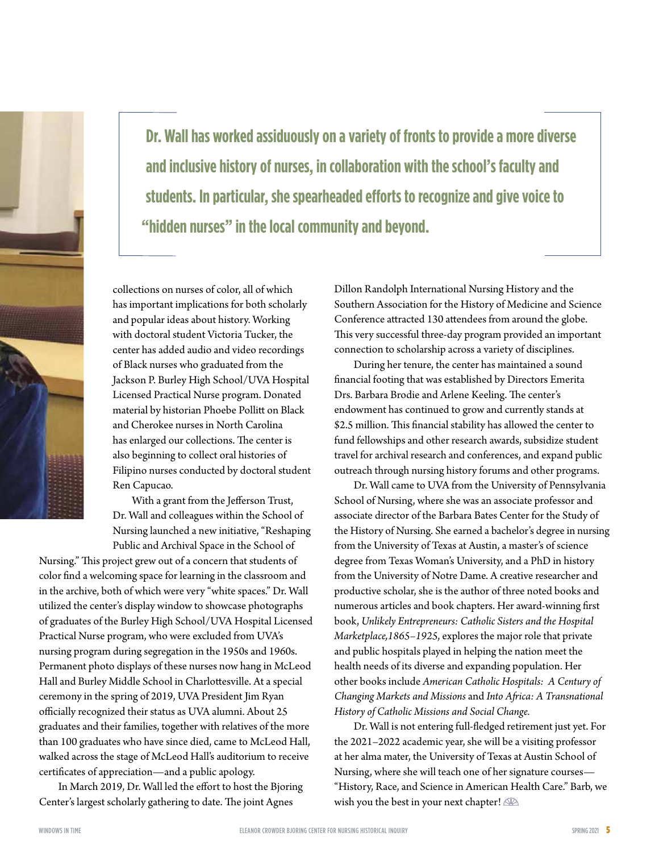**Dr. Wall has worked assiduously on a variety of fronts to provide a more diverse and inclusive history of nurses, in collaboration with the school's faculty and students. In particular, she spearheaded efforts to recognize and give voice to "hidden nurses" in the local community and beyond.**

collections on nurses of color, all of which has important implications for both scholarly and popular ideas about history. Working with doctoral student Victoria Tucker, the center has added audio and video recordings of Black nurses who graduated from the Jackson P. Burley High School/UVA Hospital Licensed Practical Nurse program. Donated material by historian Phoebe Pollitt on Black and Cherokee nurses in North Carolina has enlarged our collections. The center is also beginning to collect oral histories of Filipino nurses conducted by doctoral student Ren Capucao.

With a grant from the Jefferson Trust, Dr. Wall and colleagues within the School of Nursing launched a new initiative, "Reshaping Public and Archival Space in the School of

Nursing." This project grew out of a concern that students of color find a welcoming space for learning in the classroom and in the archive, both of which were very "white spaces." Dr. Wall utilized the center's display window to showcase photographs of graduates of the Burley High School/UVA Hospital Licensed Practical Nurse program, who were excluded from UVA's nursing program during segregation in the 1950s and 1960s. Permanent photo displays of these nurses now hang in McLeod Hall and Burley Middle School in Charlottesville. At a special ceremony in the spring of 2019, UVA President Jim Ryan officially recognized their status as UVA alumni. About 25 graduates and their families, together with relatives of the more than 100 graduates who have since died, came to McLeod Hall, walked across the stage of McLeod Hall's auditorium to receive certificates of appreciation—and a public apology.

In March 2019, Dr. Wall led the effort to host the Bjoring Center's largest scholarly gathering to date. The joint Agnes

Dillon Randolph International Nursing History and the Southern Association for the History of Medicine and Science Conference attracted 130 attendees from around the globe. This very successful three-day program provided an important connection to scholarship across a variety of disciplines.

During her tenure, the center has maintained a sound financial footing that was established by Directors Emerita Drs. Barbara Brodie and Arlene Keeling. The center's endowment has continued to grow and currently stands at \$2.5 million. This financial stability has allowed the center to fund fellowships and other research awards, subsidize student travel for archival research and conferences, and expand public outreach through nursing history forums and other programs.

Dr. Wall came to UVA from the University of Pennsylvania School of Nursing, where she was an associate professor and associate director of the Barbara Bates Center for the Study of the History of Nursing. She earned a bachelor's degree in nursing from the University of Texas at Austin, a master's of science degree from Texas Woman's University, and a PhD in history from the University of Notre Dame. A creative researcher and productive scholar, she is the author of three noted books and numerous articles and book chapters. Her award-winning first book, *Unlikely Entrepreneurs: Catholic Sisters and the Hospital Marketplace,1865–1925*, explores the major role that private and public hospitals played in helping the nation meet the health needs of its diverse and expanding population. Her other books include *American Catholic Hospitals: A Century of Changing Markets and Missions* and *Into Africa: A Transnational History of Catholic Missions and Social Change.*

Dr. Wall is not entering full-fledged retirement just yet. For the 2021–2022 academic year, she will be a visiting professor at her alma mater, the University of Texas at Austin School of Nursing, where she will teach one of her signature courses— "History, Race, and Science in American Health Care." Barb, we wish you the best in your next chapter!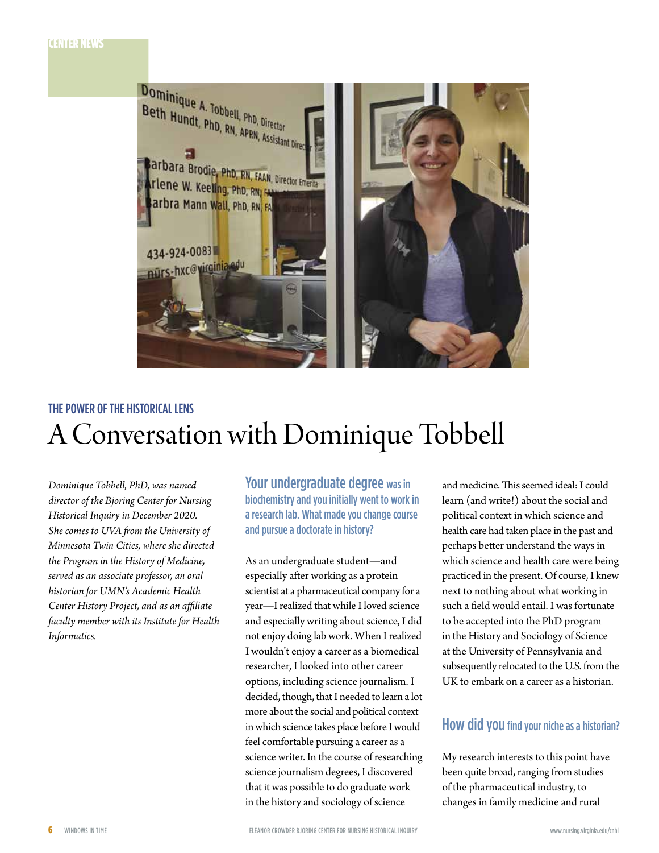

# THE POWER OF THE HISTORICAL LENS A Conversation with Dominique Tobbell

*Dominique Tobbell, PhD, was named director of the Bjoring Center for Nursing Historical Inquiry in December 2020. She comes to UVA from the University of Minnesota Twin Cities, where she directed the Program in the History of Medicine, served as an associate professor, an oral historian for UMN's Academic Health Center History Project, and as an affiliate faculty member with its Institute for Health Informatics.*

Your undergraduate degree was in biochemistry and you initially went to work in a research lab. What made you change course and pursue a doctorate in history?

As an undergraduate student—and especially after working as a protein scientist at a pharmaceutical company for a year—I realized that while I loved science and especially writing about science, I did not enjoy doing lab work. When I realized I wouldn't enjoy a career as a biomedical researcher, I looked into other career options, including science journalism. I decided, though, that I needed to learn a lot more about the social and political context in which science takes place before I would feel comfortable pursuing a career as a science writer. In the course of researching science journalism degrees, I discovered that it was possible to do graduate work in the history and sociology of science

and medicine. This seemed ideal: I could learn (and write!) about the social and political context in which science and health care had taken place in the past and perhaps better understand the ways in which science and health care were being practiced in the present. Of course, I knew next to nothing about what working in such a field would entail. I was fortunate to be accepted into the PhD program in the History and Sociology of Science at the University of Pennsylvania and subsequently relocated to the U.S. from the UK to embark on a career as a historian.

# How did you find your niche as a historian?

My research interests to this point have been quite broad, ranging from studies of the pharmaceutical industry, to changes in family medicine and rural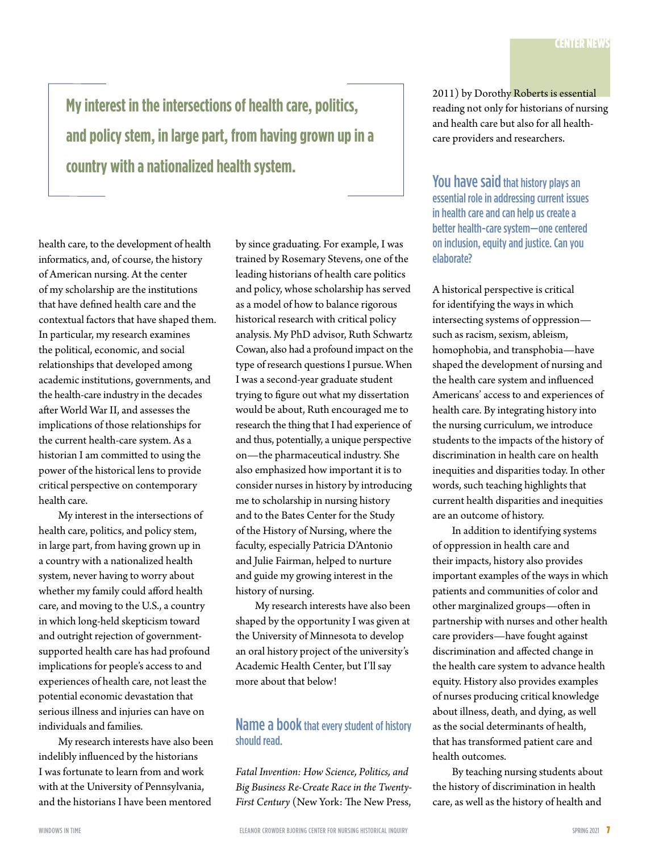**My interest in the intersections of health care, politics, and policy stem, in large part, from having grown up in a country with a nationalized health system.**

health care, to the development of health informatics, and, of course, the history of American nursing. At the center of my scholarship are the institutions that have defined health care and the contextual factors that have shaped them. In particular, my research examines the political, economic, and social relationships that developed among academic institutions, governments, and the health-care industry in the decades after World War II, and assesses the implications of those relationships for the current health-care system. As a historian I am committed to using the power of the historical lens to provide critical perspective on contemporary health care.

My interest in the intersections of health care, politics, and policy stem, in large part, from having grown up in a country with a nationalized health system, never having to worry about whether my family could afford health care, and moving to the U.S., a country in which long-held skepticism toward and outright rejection of governmentsupported health care has had profound implications for people's access to and experiences of health care, not least the potential economic devastation that serious illness and injuries can have on individuals and families.

My research interests have also been indelibly influenced by the historians I was fortunate to learn from and work with at the University of Pennsylvania, and the historians I have been mentored

by since graduating. For example, I was trained by Rosemary Stevens, one of the leading historians of health care politics and policy, whose scholarship has served as a model of how to balance rigorous historical research with critical policy analysis. My PhD advisor, Ruth Schwartz Cowan, also had a profound impact on the type of research questions I pursue. When I was a second-year graduate student trying to figure out what my dissertation would be about, Ruth encouraged me to research the thing that I had experience of and thus, potentially, a unique perspective on—the pharmaceutical industry. She also emphasized how important it is to consider nurses in history by introducing me to scholarship in nursing history and to the Bates Center for the Study of the History of Nursing, where the faculty, especially Patricia D'Antonio and Julie Fairman, helped to nurture and guide my growing interest in the history of nursing.

My research interests have also been shaped by the opportunity I was given at the University of Minnesota to develop an oral history project of the university's Academic Health Center, but I'll say more about that below!

# Name a book that every student of history should read.

*Fatal Invention: How Science, Politics, and Big Business Re-Create Race in the Twenty-First Century* (New York: The New Press,

2011) by Dorothy Roberts is essential reading not only for historians of nursing and health care but also for all healthcare providers and researchers.

You have said that history plays an essential role in addressing current issues in health care and can help us create a better health-care system—one centered on inclusion, equity and justice. Can you elaborate?

A historical perspective is critical for identifying the ways in which intersecting systems of oppression such as racism, sexism, ableism, homophobia, and transphobia—have shaped the development of nursing and the health care system and influenced Americans' access to and experiences of health care. By integrating history into the nursing curriculum, we introduce students to the impacts of the history of discrimination in health care on health inequities and disparities today. In other words, such teaching highlights that current health disparities and inequities are an outcome of history.

In addition to identifying systems of oppression in health care and their impacts, history also provides important examples of the ways in which patients and communities of color and other marginalized groups—often in partnership with nurses and other health care providers—have fought against discrimination and affected change in the health care system to advance health equity. History also provides examples of nurses producing critical knowledge about illness, death, and dying, as well as the social determinants of health, that has transformed patient care and health outcomes.

By teaching nursing students about the history of discrimination in health care, as well as the history of health and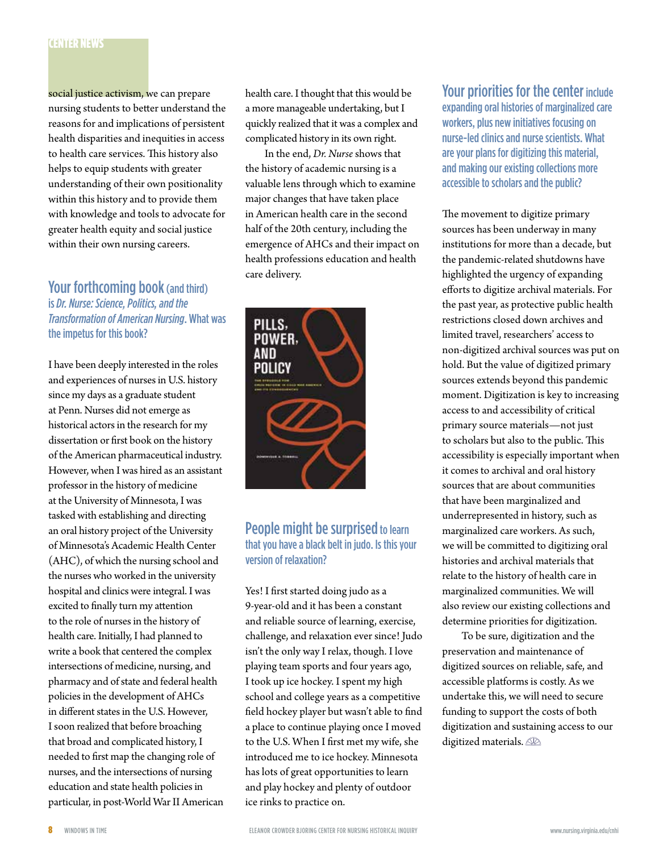# CENTER NEWS

social justice activism, we can prepare nursing students to better understand the reasons for and implications of persistent health disparities and inequities in access to health care services. This history also helps to equip students with greater understanding of their own positionality within this history and to provide them with knowledge and tools to advocate for greater health equity and social justice within their own nursing careers.

# Your forthcoming book (and third) is *Dr. Nurse: Science, Politics, and the Transformation of American Nursing*. What was the impetus for this book?

I have been deeply interested in the roles and experiences of nurses in U.S. history since my days as a graduate student at Penn. Nurses did not emerge as historical actors in the research for my dissertation or first book on the history of the American pharmaceutical industry. However, when I was hired as an assistant professor in the history of medicine at the University of Minnesota, I was tasked with establishing and directing an oral history project of the University of Minnesota's Academic Health Center (AHC), of which the nursing school and the nurses who worked in the university hospital and clinics were integral. I was excited to finally turn my attention to the role of nurses in the history of health care. Initially, I had planned to write a book that centered the complex intersections of medicine, nursing, and pharmacy and of state and federal health policies in the development of AHCs in different states in the U.S. However, I soon realized that before broaching that broad and complicated history, I needed to first map the changing role of nurses, and the intersections of nursing education and state health policies in particular, in post-World War II American health care. I thought that this would be a more manageable undertaking, but I quickly realized that it was a complex and complicated history in its own right.

In the end, *Dr. Nurse* shows that the history of academic nursing is a valuable lens through which to examine major changes that have taken place in American health care in the second half of the 20th century, including the emergence of AHCs and their impact on health professions education and health care delivery.



# People might be surprised to learn that you have a black belt in judo. Is this your version of relaxation?

Yes! I first started doing judo as a 9-year-old and it has been a constant and reliable source of learning, exercise, challenge, and relaxation ever since! Judo isn't the only way I relax, though. I love playing team sports and four years ago, I took up ice hockey. I spent my high school and college years as a competitive field hockey player but wasn't able to find a place to continue playing once I moved to the U.S. When I first met my wife, she introduced me to ice hockey. Minnesota has lots of great opportunities to learn and play hockey and plenty of outdoor ice rinks to practice on.

Your priorities for the center include expanding oral histories of marginalized care workers, plus new initiatives focusing on nurse-led clinics and nurse scientists. What are your plans for digitizing this material, and making our existing collections more accessible to scholars and the public?

The movement to digitize primary sources has been underway in many institutions for more than a decade, but the pandemic-related shutdowns have highlighted the urgency of expanding efforts to digitize archival materials. For the past year, as protective public health restrictions closed down archives and limited travel, researchers' access to non-digitized archival sources was put on hold. But the value of digitized primary sources extends beyond this pandemic moment. Digitization is key to increasing access to and accessibility of critical primary source materials—not just to scholars but also to the public. This accessibility is especially important when it comes to archival and oral history sources that are about communities that have been marginalized and underrepresented in history, such as marginalized care workers. As such, we will be committed to digitizing oral histories and archival materials that relate to the history of health care in marginalized communities. We will also review our existing collections and determine priorities for digitization.

To be sure, digitization and the preservation and maintenance of digitized sources on reliable, safe, and accessible platforms is costly. As we undertake this, we will need to secure funding to support the costs of both digitization and sustaining access to our digitized materials.  $\mathbb{R}$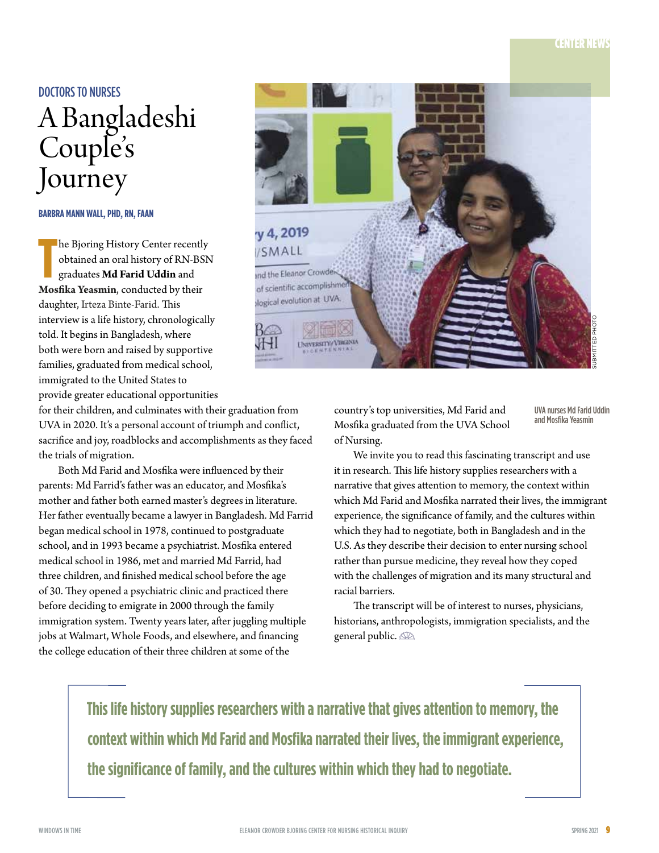# DOCTORS TO NURSES A Bangladeshi Couple's Journey

**BARBRA MANN WALL, PHD, RN, FAAN**

The Bjoring History Center recently<br>
obtained an oral history of RN-BS<br>
graduates **Md Farid Uddin** and<br> **Mosfika Yeasmin**, conducted by their he Bjoring History Center recently obtained an oral history of RN-BSN graduates **Md Farid Uddin** and daughter, Irteza Binte-Farid. This interview is a life history, chronologically told. It begins in Bangladesh, where both were born and raised by supportive families, graduated from medical school, immigrated to the United States to provide greater educational opportunities

for their children, and culminates with their graduation from UVA in 2020. It's a personal account of triumph and conflict, sacrifice and joy, roadblocks and accomplishments as they faced the trials of migration.

Both Md Farid and Mosfika were influenced by their parents: Md Farrid's father was an educator, and Mosfika's mother and father both earned master's degrees in literature. Her father eventually became a lawyer in Bangladesh. Md Farrid began medical school in 1978, continued to postgraduate school, and in 1993 became a psychiatrist. Mosfika entered medical school in 1986, met and married Md Farrid, had three children, and finished medical school before the age of 30. They opened a psychiatric clinic and practiced there before deciding to emigrate in 2000 through the family immigration system. Twenty years later, after juggling multiple jobs at Walmart, Whole Foods, and elsewhere, and financing the college education of their three children at some of the

![](_page_8_Picture_6.jpeg)

country's top universities, Md Farid and Mosfika graduated from the UVA School of Nursing.

UVA nurses Md Farid Uddin and Mosfika Yeasmin

We invite you to read this fascinating transcript and use it in research. This life history supplies researchers with a narrative that gives attention to memory, the context within which Md Farid and Mosfika narrated their lives, the immigrant experience, the significance of family, and the cultures within which they had to negotiate, both in Bangladesh and in the U.S. As they describe their decision to enter nursing school rather than pursue medicine, they reveal how they coped with the challenges of migration and its many structural and racial barriers.

The transcript will be of interest to nurses, physicians, historians, anthropologists, immigration specialists, and the general public.

**This life history supplies researchers with a narrative that gives attention to memory, the context within which Md Farid and Mosfika narrated their lives, the immigrant experience, the significance of family, and the cultures within which they had to negotiate.**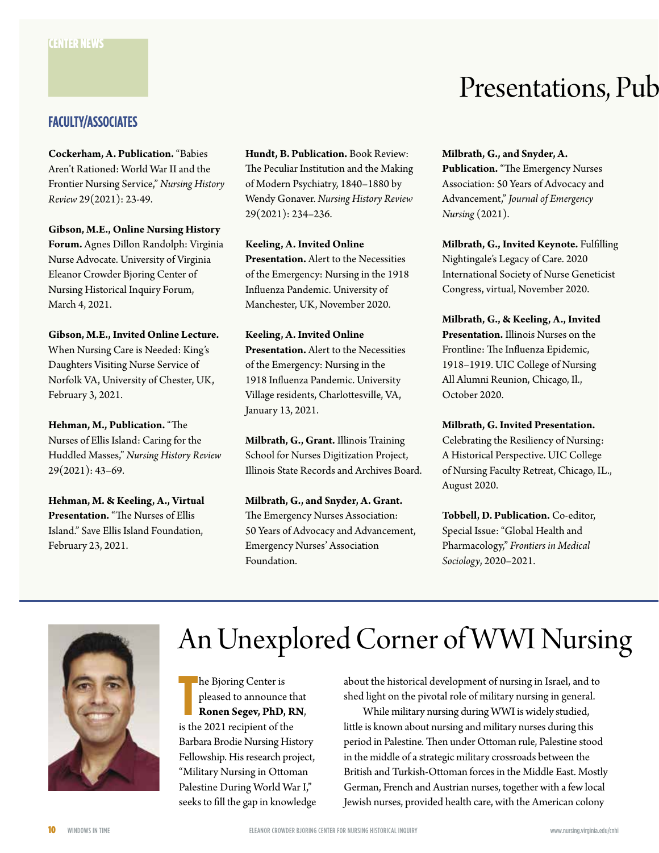# **FACULTY/ASSOCIATES**

**Cockerham, A. Publication.** "Babies Aren't Rationed: World War II and the Frontier Nursing Service," *Nursing History Review* 29(2021): 23-49.

**Gibson, M.E., Online Nursing History Forum.** Agnes Dillon Randolph: Virginia Nurse Advocate. University of Virginia Eleanor Crowder Bjoring Center of Nursing Historical Inquiry Forum, March 4, 2021.

**Gibson, M.E., Invited Online Lecture.** When Nursing Care is Needed: King's Daughters Visiting Nurse Service of Norfolk VA, University of Chester, UK, February 3, 2021.

**Hehman, M., Publication.** "The Nurses of Ellis Island: Caring for the Huddled Masses," *Nursing History Review* 29(2021): 43–69.

**Hehman, M. & Keeling, A., Virtual Presentation.** "The Nurses of Ellis Island." Save Ellis Island Foundation, February 23, 2021.

**Hundt, B. Publication.** Book Review: The Peculiar Institution and the Making of Modern Psychiatry, 1840–1880 by Wendy Gonaver. *Nursing History Review* 29(2021): 234–236.

**Keeling, A. Invited Online Presentation.** Alert to the Necessities of the Emergency: Nursing in the 1918 Influenza Pandemic. University of Manchester, UK, November 2020.

**Keeling, A. Invited Online Presentation.** Alert to the Necessities of the Emergency: Nursing in the 1918 Influenza Pandemic. University Village residents, Charlottesville, VA, January 13, 2021.

**Milbrath, G., Grant.** Illinois Training School for Nurses Digitization Project, Illinois State Records and Archives Board.

**Milbrath, G., and Snyder, A. Grant.** The Emergency Nurses Association: 50 Years of Advocacy and Advancement, Emergency Nurses' Association Foundation.

# Presentations, Pub

**Milbrath, G., and Snyder, A. Publication.** "The Emergency Nurses Association: 50 Years of Advocacy and Advancement," *Journal of Emergency Nursing* (2021).

**Milbrath, G., Invited Keynote.** Fulfilling Nightingale's Legacy of Care. 2020 International Society of Nurse Geneticist Congress, virtual, November 2020.

**Milbrath, G., & Keeling, A., Invited Presentation.** Illinois Nurses on the Frontline: The Influenza Epidemic, 1918–1919. UIC College of Nursing All Alumni Reunion, Chicago, Il., October 2020.

**Milbrath, G. Invited Presentation.** Celebrating the Resiliency of Nursing: A Historical Perspective. UIC College of Nursing Faculty Retreat, Chicago, IL., August 2020.

**Tobbell, D. Publication.** Co-editor, Special Issue: "Global Health and Pharmacology," *Frontiers in Medical Sociology*, 2020–2021.

![](_page_9_Picture_18.jpeg)

# An Unexplored Corner of WWI Nursing

he Bjoring Center is<br>pleased to announce the<br>**Ronen Segev, PhD, R**<br>is the 2021 recipient of the he Bjoring Center is pleased to announce that **Ronen Segev, PhD, RN**, Barbara Brodie Nursing History Fellowship. His research project, "Military Nursing in Ottoman Palestine During World War I," seeks to fill the gap in knowledge

about the historical development of nursing in Israel, and to shed light on the pivotal role of military nursing in general.

While military nursing during WWI is widely studied, little is known about nursing and military nurses during this period in Palestine. Then under Ottoman rule, Palestine stood in the middle of a strategic military crossroads between the British and Turkish-Ottoman forces in the Middle East. Mostly German, French and Austrian nurses, together with a few local Jewish nurses, provided health care, with the American colony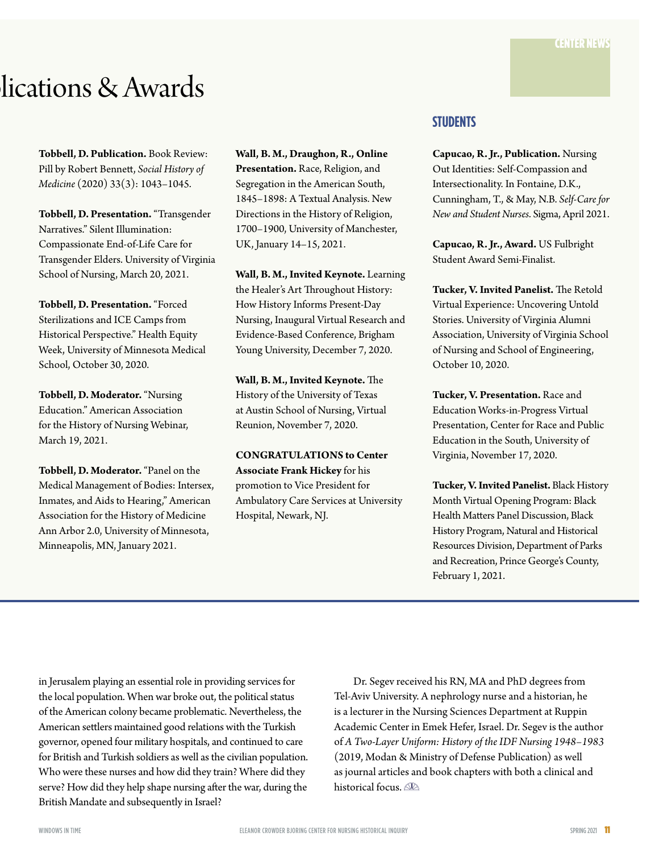# lications & Awards

**Tobbell, D. Publication.** Book Review: Pill by Robert Bennett, *Social History of Medicine* (2020) 33(3): 1043–1045.

**Tobbell, D. Presentation.** "Transgender Narratives." Silent Illumination: Compassionate End-of-Life Care for Transgender Elders. University of Virginia School of Nursing, March 20, 2021.

**Tobbell, D. Presentation.** "Forced Sterilizations and ICE Camps from Historical Perspective." Health Equity Week, University of Minnesota Medical School, October 30, 2020.

**Tobbell, D. Moderator.** "Nursing Education." American Association for the History of Nursing Webinar, March 19, 2021.

**Tobbell, D. Moderator.** "Panel on the Medical Management of Bodies: Intersex, Inmates, and Aids to Hearing," American Association for the History of Medicine Ann Arbor 2.0, University of Minnesota, Minneapolis, MN, January 2021.

**Wall, B. M., Draughon, R., Online Presentation.** Race, Religion, and Segregation in the American South, 1845–1898: A Textual Analysis. New Directions in the History of Religion, 1700–1900, University of Manchester, UK, January 14–15, 2021.

**Wall, B. M., Invited Keynote.** Learning the Healer's Art Throughout History: How History Informs Present-Day Nursing, Inaugural Virtual Research and Evidence-Based Conference, Brigham Young University, December 7, 2020.

**Wall, B. M., Invited Keynote.** The History of the University of Texas at Austin School of Nursing, Virtual Reunion, November 7, 2020.

**CONGRATULATIONS to Center Associate Frank Hickey** for his promotion to Vice President for Ambulatory Care Services at University Hospital, Newark, NJ.

# **STUDENTS**

**Capucao, R. Jr., Publication.** Nursing Out Identities: Self-Compassion and Intersectionality. In Fontaine, D.K., Cunningham, T., & May, N.B. *Self-Care for New and Student Nurses*. Sigma, April 2021.

**Capucao, R. Jr., Award.** US Fulbright Student Award Semi-Finalist.

**Tucker, V. Invited Panelist.** The Retold Virtual Experience: Uncovering Untold Stories. University of Virginia Alumni Association, University of Virginia School of Nursing and School of Engineering, October 10, 2020.

**Tucker, V. Presentation.** Race and Education Works-in-Progress Virtual Presentation, Center for Race and Public Education in the South, University of Virginia, November 17, 2020.

**Tucker, V. Invited Panelist.** Black History Month Virtual Opening Program: Black Health Matters Panel Discussion, Black History Program, Natural and Historical Resources Division, Department of Parks and Recreation, Prince George's County, February 1, 2021.

in Jerusalem playing an essential role in providing services for the local population. When war broke out, the political status of the American colony became problematic. Nevertheless, the American settlers maintained good relations with the Turkish governor, opened four military hospitals, and continued to care for British and Turkish soldiers as well as the civilian population. Who were these nurses and how did they train? Where did they serve? How did they help shape nursing after the war, during the British Mandate and subsequently in Israel?

Dr. Segev received his RN, MA and PhD degrees from Tel-Aviv University. A nephrology nurse and a historian, he is a lecturer in the Nursing Sciences Department at Ruppin Academic Center in Emek Hefer, Israel. Dr. Segev is the author of *A Two-Layer Uniform: History of the IDF Nursing 1948–1983* (2019, Modan & Ministry of Defense Publication) as well as journal articles and book chapters with both a clinical and historical focus.  $\mathbb{R}$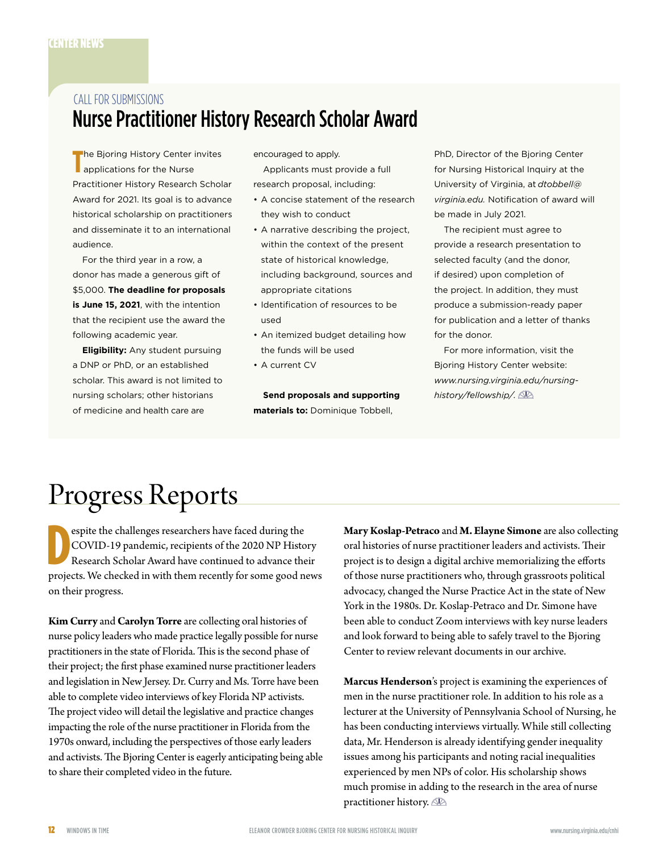# Nurse Practitioner History Research Scholar Award CALL FOR SUBMISSIONS

The Bjoring History Center invites<br>applications for the Nurse applications for the Nurse Practitioner History Research Scholar Award for 2021. Its goal is to advance historical scholarship on practitioners and disseminate it to an international audience.

For the third year in a row, a donor has made a generous gift of \$5,000. **The deadline for proposals is June 15, 2021**, with the intention that the recipient use the award the following academic year.

**Eligibility:** Any student pursuing a DNP or PhD, or an established scholar. This award is not limited to nursing scholars; other historians of medicine and health care are

encouraged to apply.

Applicants must provide a full research proposal, including:

- A concise statement of the research they wish to conduct
- A narrative describing the project, within the context of the present state of historical knowledge, including background, sources and appropriate citations
- Identification of resources to be used
- An itemized budget detailing how the funds will be used
- A current CV

**Send proposals and supporting materials to:** Dominique Tobbell,

PhD, Director of the Bjoring Center for Nursing Historical Inquiry at the University of Virginia, at *[dtobbell@](mailto:dtobbell@virginia.edu) [virginia.edu](mailto:dtobbell@virginia.edu).* Notification of award will be made in July 2021.

The recipient must agree to provide a research presentation to selected faculty (and the donor, if desired) upon completion of the project. In addition, they must produce a submission-ready paper for publication and a letter of thanks for the donor.

For more information, visit the Bjoring History Center website: *[www.nursing.virginia.edu/nursing](https://www.nursing.virginia.edu/nursing-history/fellowship/)[history/fellowship/.](https://www.nursing.virginia.edu/nursing-history/fellowship/)*

# Progress Reports

D espite the challenges researchers have faced during the COVID-19 pandemic, recipients of the 2020 NP History Research Scholar Award have continued to advance their projects. We checked in with them recently for some good news on their progress.

**Kim Curry** and **Carolyn Torre** are collecting oral histories of nurse policy leaders who made practice legally possible for nurse practitioners in the state of Florida. This is the second phase of their project; the first phase examined nurse practitioner leaders and legislation in New Jersey. Dr. Curry and Ms. Torre have been able to complete video interviews of key Florida NP activists. The project video will detail the legislative and practice changes impacting the role of the nurse practitioner in Florida from the 1970s onward, including the perspectives of those early leaders and activists. The Bjoring Center is eagerly anticipating being able to share their completed video in the future.

**Mary Koslap-Petraco** and **M. Elayne Simone** are also collecting oral histories of nurse practitioner leaders and activists. Their project is to design a digital archive memorializing the efforts of those nurse practitioners who, through grassroots political advocacy, changed the Nurse Practice Act in the state of New York in the 1980s. Dr. Koslap-Petraco and Dr. Simone have been able to conduct Zoom interviews with key nurse leaders and look forward to being able to safely travel to the Bjoring Center to review relevant documents in our archive.

**Marcus Henderson**'s project is examining the experiences of men in the nurse practitioner role. In addition to his role as a lecturer at the University of Pennsylvania School of Nursing, he has been conducting interviews virtually. While still collecting data, Mr. Henderson is already identifying gender inequality issues among his participants and noting racial inequalities experienced by men NPs of color. His scholarship shows much promise in adding to the research in the area of nurse practitioner history.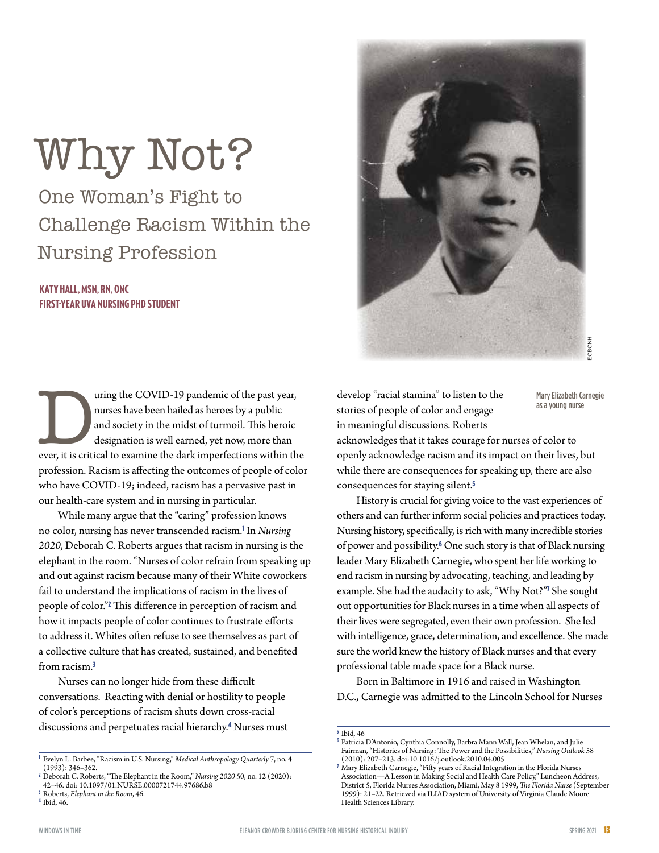# Why Not?

One Woman's Fight to Challenge Racism Within the Nursing Profession

# KATY HALL, MSN, RN, ONC FIRST-YEAR UVA NURSING PHD STUDENT

uring the COVID-19 pandemic of the past year, nurses have been hailed as heroes by a public and society in the midst of turmoil. This heroic designation is well earned, yet now, more than ever, it is critical to examine th nurses have been hailed as heroes by a public and society in the midst of turmoil. This heroic designation is well earned, yet now, more than profession. Racism is affecting the outcomes of people of color who have COVID-19; indeed, racism has a pervasive past in our health-care system and in nursing in particular.

While many argue that the "caring" profession knows no color, nursing has never transcended racism.<sup>1</sup> In *Nursing 2020*, Deborah C. Roberts argues that racism in nursing is the elephant in the room. "Nurses of color refrain from speaking up and out against racism because many of their White coworkers fail to understand the implications of racism in the lives of people of color."<sup>2</sup> This difference in perception of racism and how it impacts people of color continues to frustrate efforts to address it. Whites often refuse to see themselves as part of a collective culture that has created, sustained, and benefited from racism<sup>3</sup>

Nurses can no longer hide from these difficult conversations. Reacting with denial or hostility to people of color's perceptions of racism shuts down cross-racial discussions and perpetuates racial hierarchy.<sup>4</sup> Nurses must

![](_page_12_Picture_10.jpeg)

develop "racial stamina" to listen to the stories of people of color and engage in meaningful discussions. Roberts

Mary Elizabeth Carnegie as a young nurse

acknowledges that it takes courage for nurses of color to openly acknowledge racism and its impact on their lives, but while there are consequences for speaking up, there are also consequences for staying silent.<sup>5</sup>

History is crucial for giving voice to the vast experiences of others and can further inform social policies and practices today. Nursing history, specifically, is rich with many incredible stories of power and possibility.<sup>6</sup> One such story is that of Black nursing leader Mary Elizabeth Carnegie, who spent her life working to end racism in nursing by advocating, teaching, and leading by example. She had the audacity to ask, "Why Not?"<sup>7</sup> She sought out opportunities for Black nurses in a time when all aspects of their lives were segregated, even their own profession. She led with intelligence, grace, determination, and excellence. She made sure the world knew the history of Black nurses and that every professional table made space for a Black nurse.

Born in Baltimore in 1916 and raised in Washington D.C., Carnegie was admitted to the Lincoln School for Nurses

**<sup>1</sup>** Evelyn L. Barbee, "Racism in U.S. Nursing," *Medical Anthropology Quarterly* 7, no. 4 (1993): 346–362.

**<sup>2</sup>** Deborah C. Roberts, "The Elephant in the Room," *Nursing 2020* 50, no. 12 (2020): 42–46. doi: 10.1097/01.NURSE.0000721744.97686.b8

**<sup>3</sup>** Roberts, *Elephant in the Room*, 46. **<sup>4</sup>** Ibid, 46.

**<sup>5</sup>** Ibid, 46

**<sup>6</sup>** Patricia D'Antonio, Cynthia Connolly, Barbra Mann Wall, Jean Whelan, and Julie Fairman, "Histories of Nursing: The Power and the Possibilities," *Nursing Outlook* 58 (2010): 207–213. doi:10.1016/j.outlook.2010.04.005

**<sup>7</sup>** Mary Elizabeth Carnegie, "Fifty years of Racial Integration in the Florida Nurses Association—A Lesson in Making Social and Health Care Policy," Luncheon Address, District 5, Florida Nurses Association, Miami, May 8 1999, *The Florida Nurse* (September 1999): 21–22. Retrieved via ILIAD system of University of Virginia Claude Moore Health Sciences Library.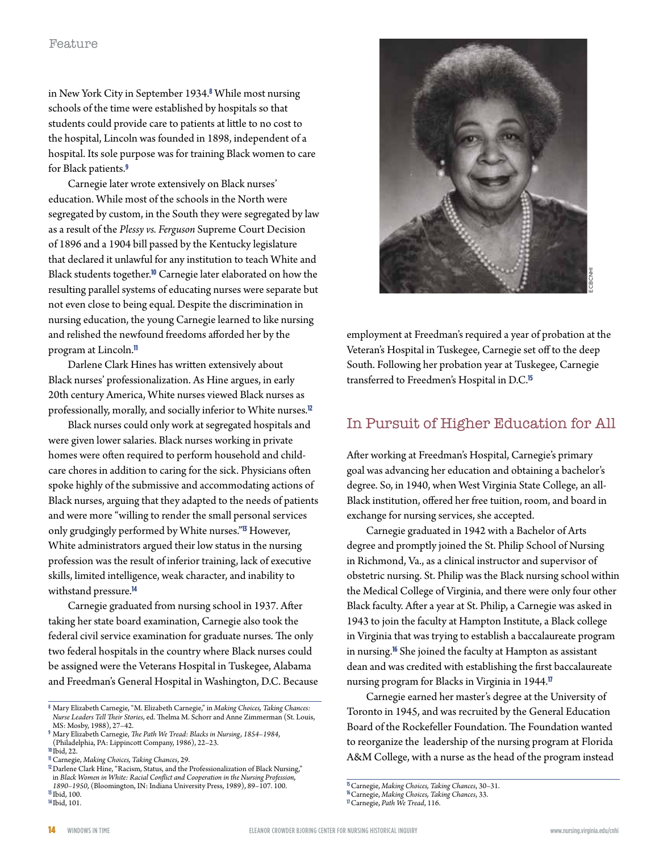in New York City in September 1934.<sup>8</sup> While most nursing schools of the time were established by hospitals so that students could provide care to patients at little to no cost to the hospital, Lincoln was founded in 1898, independent of a hospital. Its sole purpose was for training Black women to care for Black patients.<sup>9</sup>

Carnegie later wrote extensively on Black nurses' education. While most of the schools in the North were segregated by custom, in the South they were segregated by law as a result of the *Plessy vs. Ferguson* Supreme Court Decision of 1896 and a 1904 bill passed by the Kentucky legislature that declared it unlawful for any institution to teach White and Black students together.<sup>10</sup> Carnegie later elaborated on how the resulting parallel systems of educating nurses were separate but not even close to being equal. Despite the discrimination in nursing education, the young Carnegie learned to like nursing and relished the newfound freedoms afforded her by the program at Lincoln.<sup>11</sup>

Darlene Clark Hines has written extensively about Black nurses' professionalization. As Hine argues, in early 20th century America, White nurses viewed Black nurses as professionally, morally, and socially inferior to White nurses.<sup>12</sup>

Black nurses could only work at segregated hospitals and were given lower salaries. Black nurses working in private homes were often required to perform household and childcare chores in addition to caring for the sick. Physicians often spoke highly of the submissive and accommodating actions of Black nurses, arguing that they adapted to the needs of patients and were more "willing to render the small personal services only grudgingly performed by White nurses."<sup>13</sup> However, White administrators argued their low status in the nursing profession was the result of inferior training, lack of executive skills, limited intelligence, weak character, and inability to withstand pressure.<sup>14</sup>

Carnegie graduated from nursing school in 1937. After taking her state board examination, Carnegie also took the federal civil service examination for graduate nurses. The only two federal hospitals in the country where Black nurses could be assigned were the Veterans Hospital in Tuskegee, Alabama and Freedman's General Hospital in Washington, D.C. Because

<sup>11</sup> Carnegie, *Making Choices, Taking Chances,* 29.<br><sup>12</sup> Darlene Clark Hine, "Racism, Status, and the Professionalization of Black Nursing," in *Black Women in White: Racial Conflict and Cooperation in the Nursing Profession, 1890–1950*, (Bloomington, IN: Indiana University Press, 1989), 89–107. 100. **<sup>13</sup>** Ibid, 100.

![](_page_13_Picture_12.jpeg)

employment at Freedman's required a year of probation at the Veteran's Hospital in Tuskegee, Carnegie set off to the deep South. Following her probation year at Tuskegee, Carnegie transferred to Freedmen's Hospital in D.C.<sup>15</sup>

# In Pursuit of Higher Education for All

After working at Freedman's Hospital, Carnegie's primary goal was advancing her education and obtaining a bachelor's degree. So, in 1940, when West Virginia State College, an all-Black institution, offered her free tuition, room, and board in exchange for nursing services, she accepted.

Carnegie graduated in 1942 with a Bachelor of Arts degree and promptly joined the St. Philip School of Nursing in Richmond, Va., as a clinical instructor and supervisor of obstetric nursing. St. Philip was the Black nursing school within the Medical College of Virginia, and there were only four other Black faculty. After a year at St. Philip, a Carnegie was asked in 1943 to join the faculty at Hampton Institute, a Black college in Virginia that was trying to establish a baccalaureate program in nursing.<sup>16</sup> She joined the faculty at Hampton as assistant dean and was credited with establishing the first baccalaureate nursing program for Blacks in Virginia in 1944.<sup>17</sup>

Carnegie earned her master's degree at the University of Toronto in 1945, and was recruited by the General Education Board of the Rockefeller Foundation. The Foundation wanted to reorganize the leadership of the nursing program at Florida A&M College, with a nurse as the head of the program instead

**<sup>8</sup>** Mary Elizabeth Carnegie, "M. Elizabeth Carnegie," in *Making Choices, Taking Chances: Nurse Leaders Tell Their Stories*, ed. Thelma M. Schorr and Anne Zimmerman (St. Louis, MS: Mosby, 1988), 27–42.

**<sup>9</sup>** Mary Elizabeth Carnegie, *The Path We Tread: Blacks in Nursing, 1854–1984*, (Philadelphia, PA: Lippincott Company, 1986), 22–23.

<sup>&</sup>lt;sup>10</sup>Ibid, 22.<br><sup>11</sup> Carnegie, Making Choices, Taking Chances, 29.

**<sup>14</sup>**Ibid, 101.

**<sup>15</sup>**Carnegie, *Making Choices, Taking Chances*, 30–31. **<sup>16</sup>**Carnegie, *Making Choices, Taking Chances*, 33. **<sup>17</sup>**Carnegie, *Path We Tread*, 116.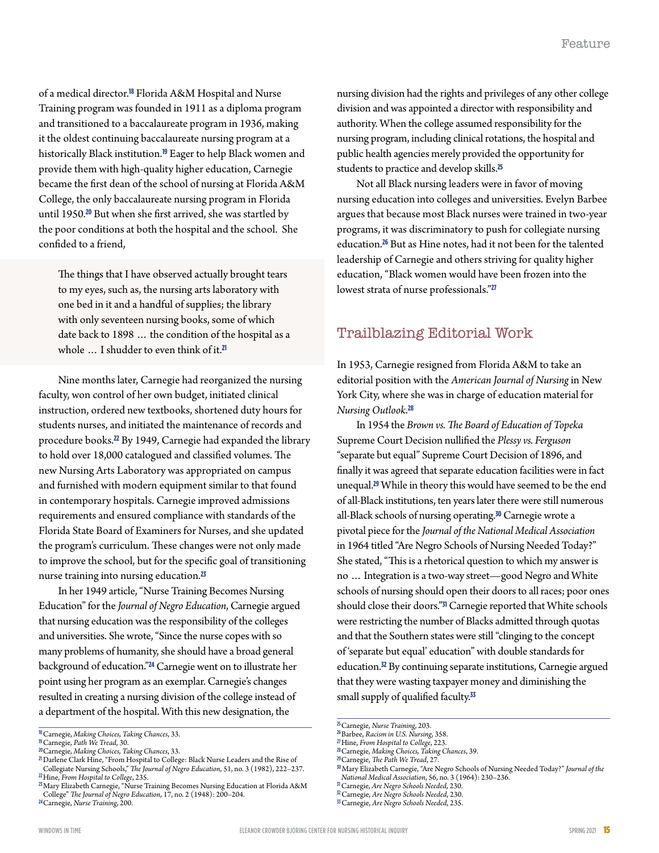of a medical director.<sup>18</sup> Florida A&M Hospital and Nurse Training program was founded in 1911 as a diploma program and transitioned to a baccalaureate program in 1936, making it the oldest continuing baccalaureate nursing program at a historically Black institution.<sup>19</sup> Eager to help Black women and provide them with high-quality higher education, Carnegie became the first dean of the school of nursing at Florida A&M College, the only baccalaureate nursing program in Florida until 1950.<sup>20</sup> But when she first arrived, she was startled by the poor conditions at both the hospital and the school. She confided to a friend,

The things that I have observed actually brought tears to my eyes, such as, the nursing arts laboratory with one bed in it and a handful of supplies; the library with only seventeen nursing books, some of which date back to 1898 … the condition of the hospital as a whole ... I shudder to even think of it.<sup>21</sup>

Nine months later, Carnegie had reorganized the nursing faculty, won control of her own budget, initiated clinical instruction, ordered new textbooks, shortened duty hours for students nurses, and initiated the maintenance of records and procedure books.<sup>22</sup> By 1949, Carnegie had expanded the library to hold over 18,000 catalogued and classified volumes. The new Nursing Arts Laboratory was appropriated on campus and furnished with modern equipment similar to that found in contemporary hospitals. Carnegie improved admissions requirements and ensured compliance with standards of the Florida State Board of Examiners for Nurses, and she updated the program's curriculum. These changes were not only made to improve the school, but for the specific goal of transitioning nurse training into nursing education.<sup>23</sup>

In her 1949 article, "Nurse Training Becomes Nursing Education" for the *Journal of Negro Education*, Carnegie argued that nursing education was the responsibility of the colleges and universities. She wrote, "Since the nurse copes with so many problems of humanity, she should have a broad general background of education."<sup>24</sup> Carnegie went on to illustrate her point using her program as an exemplar. Carnegie's changes resulted in creating a nursing division of the college instead of a department of the hospital. With this new designation, the

nursing division had the rights and privileges of any other college division and was appointed a director with responsibility and authority. When the college assumed responsibility for the nursing program, including clinical rotations, the hospital and public health agencies merely provided the opportunity for students to practice and develop skills.<sup>25</sup>

Not all Black nursing leaders were in favor of moving nursing education into colleges and universities. Evelyn Barbee argues that because most Black nurses were trained in two-year programs, it was discriminatory to push for collegiate nursing education.<sup>26</sup> But as Hine notes, had it not been for the talented leadership of Carnegie and others striving for quality higher education, "Black women would have been frozen into the lowest strata of nurse professionals."<sup>27</sup>

# Trailblazing Editorial Work

In 1953, Carnegie resigned from Florida A&M to take an editorial position with the *American Journal of Nursing* in New York City, where she was in charge of education material for *Nursing Outlook*. 28

In 1954 the *Brown vs. The Board of Education of Topeka* Supreme Court Decision nullified the *Plessy vs. Ferguson* "separate but equal" Supreme Court Decision of 1896, and finally it was agreed that separate education facilities were in fact unequal.<sup>29</sup> While in theory this would have seemed to be the end of all-Black institutions, ten years later there were still numerous all-Black schools of nursing operating.<sup>30</sup> Carnegie wrote a pivotal piece for the *Journal of the National Medical Association* in 1964 titled "Are Negro Schools of Nursing Needed Today?" She stated, "This is a rhetorical question to which my answer is no … Integration is a two-way street—good Negro and White schools of nursing should open their doors to all races; poor ones should close their doors."<sup>31</sup> Carnegie reported that White schools were restricting the number of Blacks admitted through quotas and that the Southern states were still "clinging to the concept of 'separate but equal' education" with double standards for education.<sup>32</sup> By continuing separate institutions, Carnegie argued that they were wasting taxpayer money and diminishing the small supply of qualified faculty.<sup>33</sup>

<sup>&</sup>lt;sup>18</sup> Carnegie, *Making Choices, Taking Chances*, 33.<br><sup>19</sup> Carnegie, *Path We Tread*, 30.<br><sup>20</sup> Carnegie, *Making Choices, Taking Chances*, 33.<br><sup>21</sup> Darlene Clark Hine, "From Hospital to College: Black Nurse Leaders and the

 $\textit{$\alpha$}-\textit{Hine}, \textit{From Hospital to College}, 235. \textit{$\beta$}-\textit{Marg}$  <br> Alary Elizabeth Carnegie, "Nurse Training Becomes Nursing Education at Florida A&M College" *The Journal of Negro Education*, 17, no. 2 (1948): 200–204. **<sup>24</sup>**Carnegie, *Nurse Training*, 200.

<sup>&</sup>lt;sup>15</sup> Carnegie, Nurse Training, 203.<br><sup>16</sup> Barbee, Racism in U.S. Nursing, 358.<br><sup>27</sup> Hine, From Hospital to College, 223.<br><sup>28</sup> Carnegie, Making Choices, Taking Chances, 39.<br><sup>29</sup> Carnegie, The Path We Tread, 27.<br><sup>30</sup> Mary El

 $\,^\mathrm{3I}$ Carnegie, Are Negro Schools Needed, 230.<br> $\,^\mathrm{3I}$ Carnegie, Are Negro Schools Needed, 230.<br> $\,^\mathrm{3I}$ Carnegie, Are Negro Schools Needed, 235.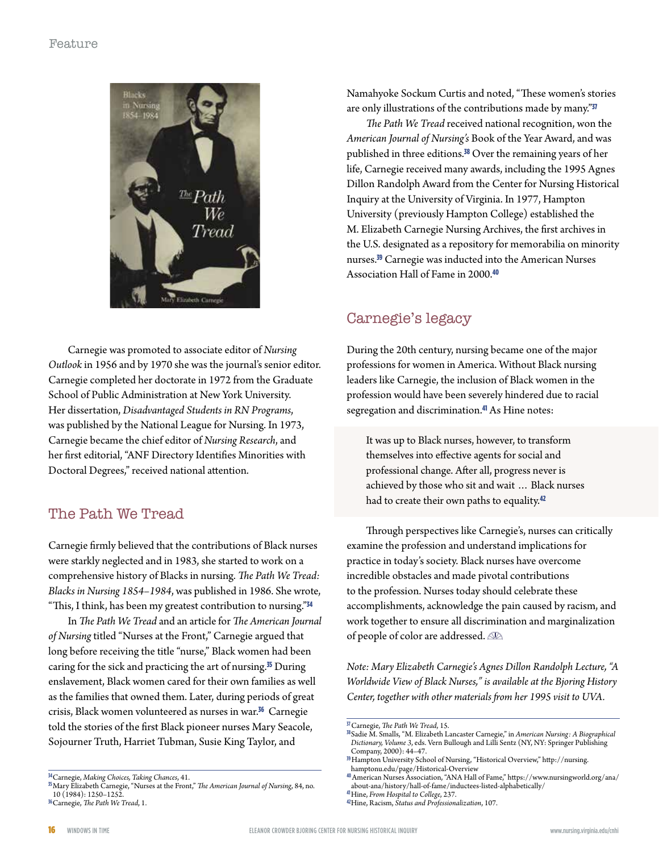![](_page_15_Picture_1.jpeg)

Carnegie was promoted to associate editor of *Nursing Outlook* in 1956 and by 1970 she was the journal's senior editor. Carnegie completed her doctorate in 1972 from the Graduate School of Public Administration at New York University. Her dissertation, *Disadvantaged Students in RN Programs*, was published by the National League for Nursing. In 1973, Carnegie became the chief editor of *Nursing Research*, and her first editorial, "ANF Directory Identifies Minorities with Doctoral Degrees," received national attention.

# The Path We Tread

Carnegie firmly believed that the contributions of Black nurses were starkly neglected and in 1983, she started to work on a comprehensive history of Blacks in nursing. *The Path We Tread: Blacks in Nursing 1854–1984*, was published in 1986. She wrote, "This, I think, has been my greatest contribution to nursing."<sup>34</sup>

In *The Path We Tread* and an article for *The American Journal of Nursing* titled "Nurses at the Front," Carnegie argued that long before receiving the title "nurse," Black women had been caring for the sick and practicing the art of nursing.<sup>35</sup> During enslavement, Black women cared for their own families as well as the families that owned them. Later, during periods of great crisis, Black women volunteered as nurses in war.<sup>36</sup> Carnegie told the stories of the first Black pioneer nurses Mary Seacole, Sojourner Truth, Harriet Tubman, Susie King Taylor, and

Namahyoke Sockum Curtis and noted, "These women's stories are only illustrations of the contributions made by many."37

*The Path We Tread* received national recognition, won the *American Journal of Nursing's* Book of the Year Award, and was published in three editions.<sup>38</sup> Over the remaining years of her life, Carnegie received many awards, including the 1995 Agnes Dillon Randolph Award from the Center for Nursing Historical Inquiry at the University of Virginia. In 1977, Hampton University (previously Hampton College) established the M. Elizabeth Carnegie Nursing Archives, the first archives in the U.S. designated as a repository for memorabilia on minority nurses.<sup>39</sup> Carnegie was inducted into the American Nurses Association Hall of Fame in 2000.<sup>40</sup>

# Carnegie's legacy

During the 20th century, nursing became one of the major professions for women in America. Without Black nursing leaders like Carnegie, the inclusion of Black women in the profession would have been severely hindered due to racial segregation and discrimination.<sup>41</sup> As Hine notes:

It was up to Black nurses, however, to transform themselves into effective agents for social and professional change. After all, progress never is achieved by those who sit and wait … Black nurses had to create their own paths to equality.<sup>42</sup>

Through perspectives like Carnegie's, nurses can critically examine the profession and understand implications for practice in today's society. Black nurses have overcome incredible obstacles and made pivotal contributions to the profession. Nurses today should celebrate these accomplishments, acknowledge the pain caused by racism, and work together to ensure all discrimination and marginalization of people of color are addressed.  $\mathbb{R}$ 

*Note: Mary Elizabeth Carnegie's Agnes Dillon Randolph Lecture, "A Worldwide View of Black Nurses," is available at the Bjoring History Center, together with other materials from her 1995 visit to UVA.*

**<sup>34</sup>**Carnegie, *Making Choices, Taking Chances*, 41. **<sup>35</sup>**Mary Elizabeth Carnegie, "Nurses at the Front," *The American Journal of Nursing*, 84, no. 10 (1984): 1250–1252. **<sup>36</sup>**Carnegie, *The Path We Tread*, 1.

<sup>&</sup>lt;sup>37</sup> Carnegie, *The Path We Tread,* 15.<br><sup>38</sup>Sadie M. Smalls, "M. Elizabeth Lancaster Carnegie," in *American Nursing: A Biographical Dictionary, Volume 3*, eds. Vern Bullough and Lilli Sentz (NY, NY: Springer Publishing Company, 2000): 44–47.

**<sup>39</sup>**Hampton University School of Nursing, "Historical Overview," http://nursing. hamptonu.edu/page/Historical-Overview

**<sup>40</sup>**American Nurses Association, "ANA Hall of Fame," https://www.nursingworld.org/ana/ about-ana/history/hall-of-fame/inductees-listed-alphabetically/41Hine, From Hospital to College, 237.

**<sup>41</sup>**Hine, *From Hospital to College*, 237. **<sup>42</sup>**Hine, Racism, *Status and Professionalization*, 107.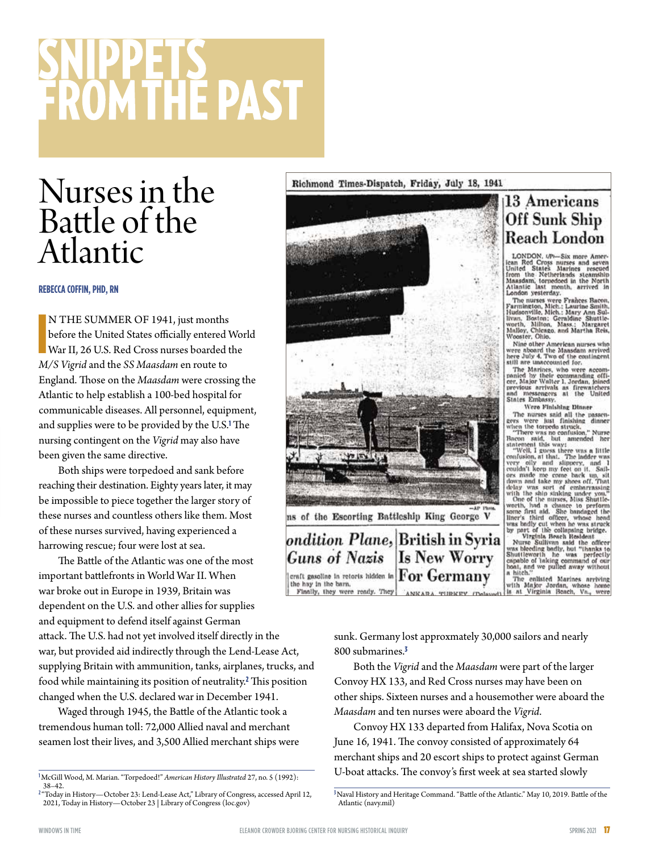# **ROM THE PAST**

# Nurses in the Battle of the Atlantic

#### **REBECCA COFFIN, PHD, RN**

**N THE SUMMER OF 1941, just months**<br>before the United States officially entered<br>War II, 26 U.S. Red Cross nurses boarded<br>*M/S Vigrid* and the *SS Maasdam* en route to N THE SUMMER OF 1941, just months before the United States officially entered World War II, 26 U.S. Red Cross nurses boarded the England. Those on the *Maasdam* were crossing the Atlantic to help establish a 100-bed hospital for communicable diseases. All personnel, equipment, and supplies were to be provided by the U.S.<sup>1</sup> The nursing contingent on the *Vigrid* may also have been given the same directive.

Both ships were torpedoed and sank before reaching their destination. Eighty years later, it may be impossible to piece together the larger story of these nurses and countless others like them. Most of these nurses survived, having experienced a harrowing rescue; four were lost at sea.

The Battle of the Atlantic was one of the most important battlefronts in World War II. When war broke out in Europe in 1939, Britain was Finally, they were ready. They dependent on the U.S. and other allies for supplies and equipment to defend itself against German attack. The U.S. had not yet involved itself directly in the war, but provided aid indirectly through the Lend-Lease Act, supplying Britain with ammunition, tanks, airplanes, trucks, and food while maintaining its position of neutrality.<sup>2</sup> This position changed when the U.S. declared war in December 1941.

Waged through 1945, the Battle of the Atlantic took a tremendous human toll: 72,000 Allied naval and merchant seamen lost their lives, and 3,500 Allied merchant ships were

#### Richmond Times-Dispatch, Friday, July 18, 1941

![](_page_16_Picture_10.jpeg)

800 submarines.<sup>3</sup>

# 13 Americans Off Sunk Ship **Reach London**

LONDON.  $U\bar{P}v$ —Six more American Red Cross nurses and seven<br>United States. Marinos research<br>from the Netherlands steamship<br>Maasdam, torpedoed in the Netherlands<br>Atlantic Last month, arrived in<br>London yesterday.

London yesterday.<br>The nurses were Frañces Bacon,<br>Parministon, Mich.: Laurine Smith,<br>Hudsonville, Mich.: Mary Ann Sul.<br>Hudsonville, Mich.: Aliton, Mass.: Margaret<br>Malloy, Chicago, and Martha Reis,<br>Wooster, Oliko, Mass.: Mar

Nine other American nurses who<br>were aboard the Maasdam arrived<br>here July 4. Two of the contingent<br>still are unaccounted for.

stul are unaccounted for,<br>The Marines, who were accom-<br>panied by their commanding of<br>the cer, Major Walter 1, Jordan, joined<br>previous arrivals as firewatchers<br>and messengers at the United<br>States Embassy.

Were Finishing Dinner

States Embassy.<br>
States Were Finlahlug Dinner<br>
The nurses said all the passen-<br>
gers were bust finlahlug Dinner<br>
wiren the torriede struck,<br>
"There was no confusion, "Nurse<br>
"Welk, I guess there was a little<br>
confusion, at

sunk. Germany lost approxmately 30,000 sailors and nearly

Both the *Vigrid* and the *Maasdam* were part of the larger Convoy HX 133, and Red Cross nurses may have been on other ships. Sixteen nurses and a housemother were aboard the *Maasdam* and ten nurses were aboard the *Vigrid*.

Convoy HX 133 departed from Halifax, Nova Scotia on June 16, 1941. The convoy consisted of approximately 64 merchant ships and 20 escort ships to protect against German U-boat attacks. The convoy's first week at sea started slowly

**<sup>1</sup>**McGill Wood, M. Marian. "Torpedoed!" *American History Illustrated* 27, no. 5 (1992): 38–42.

**<sup>2</sup>**"Today in History—October 23: Lend-Lease Act," Library of Congress, accessed April 12, 2021, Today in History—October 23 | Library of Congress (loc.gov)

**<sup>3</sup>**Naval History and Heritage Command. "Battle of the Atlantic." May 10, 2019. Battle of the Atlantic (navy.mil)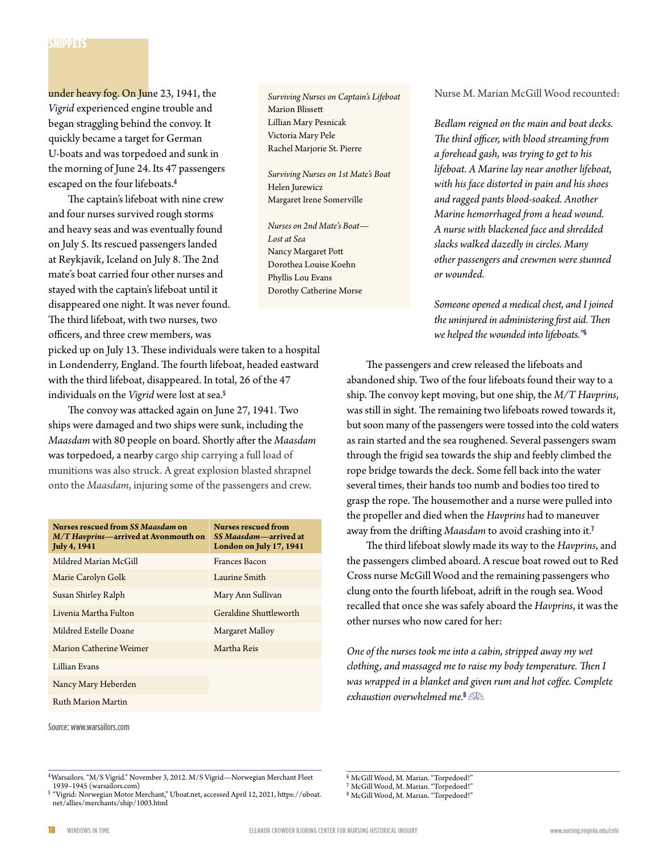under heavy fog. On June 23, 1941, the *Vigrid* experienced engine trouble and began straggling behind the convoy. It quickly became a target for German U-boats and was torpedoed and sunk in the morning of June 24. Its 47 passengers escaped on the four lifeboats.<sup>4</sup>

The captain's lifeboat with nine crew and four nurses survived rough storms and heavy seas and was eventually found on July 5. Its rescued passengers landed at Reykjavik, Iceland on July 8. The 2nd mate's boat carried four other nurses and stayed with the captain's lifeboat until it disappeared one night. It was never found. The third lifeboat, with two nurses, two officers, and three crew members, was

picked up on July 13. These individuals were taken to a hospital in Londenderry, England. The fourth lifeboat, headed eastward with the third lifeboat, disappeared. In total, 26 of the 47 individuals on the *Vigrid* were lost at sea.<sup>5</sup>

The convoy was attacked again on June 27, 1941. Two ships were damaged and two ships were sunk, including the *Maasdam* with 80 people on board. Shortly after the *Maasdam* was torpedoed, a nearby cargo ship carrying a full load of munitions was also struck. A great explosion blasted shrapnel onto the *Maasdam*, injuring some of the passengers and crew.

| Nurses rescued from SS Maasdam on<br>$M/T$ Havprins—arrived at Avonmouth on<br><b>July 4, 1941</b> | <b>Nurses rescued from</b><br>SS Maasdam—arrived at<br>London on July 17, 1941 |
|----------------------------------------------------------------------------------------------------|--------------------------------------------------------------------------------|
| Mildred Marian McGill                                                                              | Frances Bacon                                                                  |
| Marie Carolyn Golk                                                                                 | Laurine Smith                                                                  |
| Susan Shirley Ralph                                                                                | Mary Ann Sullivan                                                              |
| Livenia Martha Fulton                                                                              | Geraldine Shuttleworth                                                         |
| Mildred Estelle Doane                                                                              | Margaret Malloy                                                                |
| Marion Catherine Weimer                                                                            | Martha Reis                                                                    |
| Lillian Evans                                                                                      |                                                                                |
| Nancy Mary Heberden                                                                                |                                                                                |
| Ruth Marion Martin                                                                                 |                                                                                |

Source: www.warsailors.com

*Surviving Nurses on Captain's Lifeboat* Marion Blissett Lillian Mary Pesnicak Victoria Mary Pele Rachel Marjorie St. Pierre

*Surviving Nurses on 1st Mate's Boat* Helen Jurewicz Margaret Irene Somerville

*Nurses on 2nd Mate's Boat— Lost at Sea* Nancy Margaret Pott Dorothea Louise Koehn Phyllis Lou Evans Dorothy Catherine Morse

Nurse M. Marian McGill Wood recounted:

*Bedlam reigned on the main and boat decks. The third officer, with blood streaming from a forehead gash, was trying to get to his lifeboat. A Marine lay near another lifeboat, with his face distorted in pain and his shoes and ragged pants blood-soaked. Another Marine hemorrhaged from a head wound. A nurse with blackened face and shredded slacks walked dazedly in circles. Many other passengers and crewmen were stunned or wounded.*

*Someone opened a medical chest, and I joined the uninjured in administering first aid. Then we helped the wounded into lifeboats."*<sup>6</sup>

The passengers and crew released the lifeboats and abandoned ship. Two of the four lifeboats found their way to a ship. The convoy kept moving, but one ship, the *M/T Havprins*, was still in sight. The remaining two lifeboats rowed towards it, but soon many of the passengers were tossed into the cold waters as rain started and the sea roughened. Several passengers swam through the frigid sea towards the ship and feebly climbed the rope bridge towards the deck. Some fell back into the water several times, their hands too numb and bodies too tired to grasp the rope. The housemother and a nurse were pulled into the propeller and died when the *Havprins* had to maneuver away from the drifting *Maasdam* to avoid crashing into it.<sup>7</sup>

The third lifeboat slowly made its way to the *Havprins*, and the passengers climbed aboard. A rescue boat rowed out to Red Cross nurse McGill Wood and the remaining passengers who clung onto the fourth lifeboat, adrift in the rough sea. Wood recalled that once she was safely aboard the *Havprins*, it was the other nurses who now cared for her:

*One of the nurses took me into a cabin, stripped away my wet clothing, and massaged me to raise my body temperature. Then I was wrapped in a blanket and given rum and hot coffee. Complete exhaustion overwhelmed me.*<sup>8</sup>

**<sup>4</sup>**Warsailors. "M/S Vigrid." November 3, 2012. M/S Vigrid—Norwegian Merchant Fleet 1939–1945 (warsailors.com)

**<sup>6</sup>** McGill Wood, M. Marian. "Torpedoed!"

**<sup>7</sup>** McGill Wood, M. Marian. "Torpedoed!"

**<sup>8</sup>** McGill Wood, M. Marian. "Torpedoed!"

**<sup>5</sup>**"Vigrid: Norwegian Motor Merchant," Uboat.net, accessed April 12, 2021, https://uboat. net/allies/merchants/ship/1003.html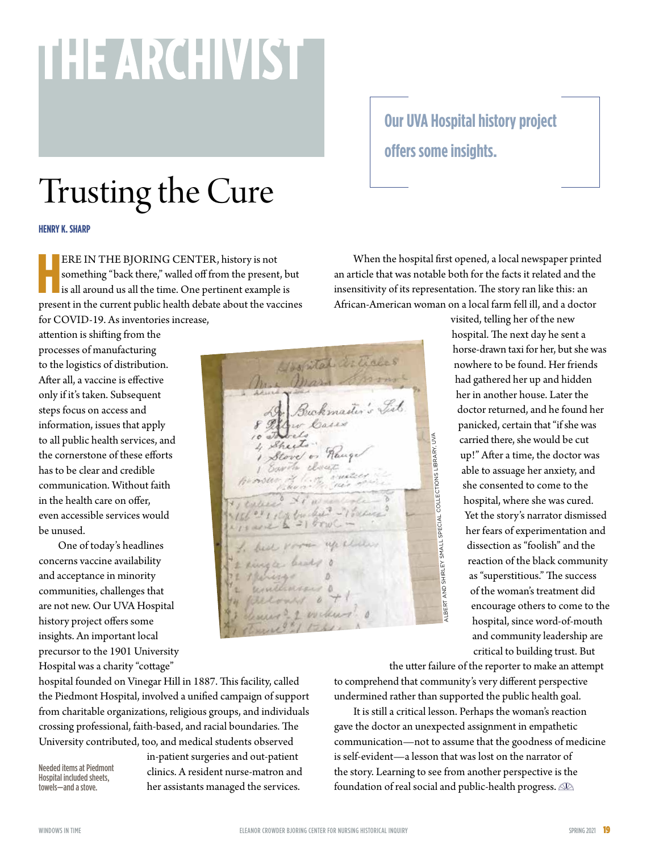# **THE ARCHIVIST**

# Trusting the Cure

#### **HENRY K. SHARP**

ERE IN THE BJORING CENTER, history is not something "back there," walled off from the present, but is all around us all the time. One pertinent example is present in the current public health debate about the vaccines ERE IN THE BJORING CENTER, history is not something "back there," walled off from the present, but is all around us all the time. One pertinent example is for COVID-19. As inventories increase,

attention is shifting from the processes of manufacturing to the logistics of distribution. After all, a vaccine is effective only if it's taken. Subsequent steps focus on access and information, issues that apply to all public health services, and the cornerstone of these efforts has to be clear and credible communication. Without faith in the health care on offer, even accessible services would be unused.

One of today's headlines concerns vaccine availability and acceptance in minority communities, challenges that are not new. Our UVA Hospital history project offers some insights. An important local precursor to the 1901 University Hospital was a charity "cottage"

Mosfital articles Buckmaster's List ALBERT AND SHIRLEY SMALL SPECIAL COLLECTIONS LIBRARY. UVA ALBERT AND SHIRLEY SMALL SPECIAL COLLECTIONS LIBRARY, UVA

**Our UVA Hospital history project offers some insights.**

When the hospital first opened, a local newspaper printed an article that was notable both for the facts it related and the insensitivity of its representation. The story ran like this: an African-American woman on a local farm fell ill, and a doctor

> visited, telling her of the new hospital. The next day he sent a horse-drawn taxi for her, but she was nowhere to be found. Her friends had gathered her up and hidden her in another house. Later the doctor returned, and he found her panicked, certain that "if she was carried there, she would be cut up!" After a time, the doctor was able to assuage her anxiety, and she consented to come to the hospital, where she was cured. Yet the story's narrator dismissed her fears of experimentation and dissection as "foolish" and the reaction of the black community as "superstitious." The success of the woman's treatment did encourage others to come to the hospital, since word-of-mouth and community leadership are critical to building trust. But

the utter failure of the reporter to make an attempt to comprehend that community's very different perspective undermined rather than supported the public health goal.

It is still a critical lesson. Perhaps the woman's reaction gave the doctor an unexpected assignment in empathetic communication—not to assume that the goodness of medicine is self-evident—a lesson that was lost on the narrator of the story. Learning to see from another perspective is the foundation of real social and public-health progress.

hospital founded on Vinegar Hill in 1887. This facility, called the Piedmont Hospital, involved a unified campaign of support from charitable organizations, religious groups, and individuals crossing professional, faith-based, and racial boundaries. The University contributed, too, and medical students observed

Needed items at Piedmont Hospital included sheets, towels—and a stove.

in-patient surgeries and out-patient clinics. A resident nurse-matron and her assistants managed the services.